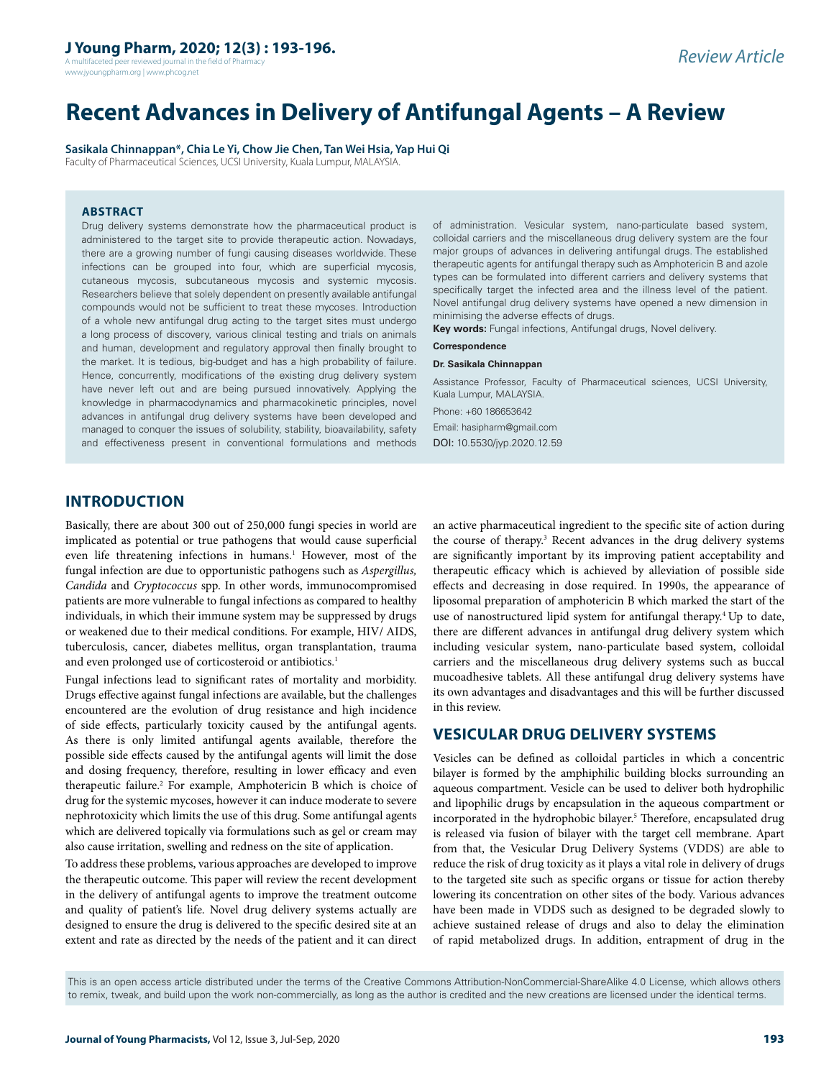A multifaceted peer reviewed journal in the field of Pharmacy www.jyoungpharm.org | www.phcog.net

# **Recent Advances in Delivery of Antifungal Agents – A Review**

**Sasikala Chinnappan\*, Chia Le Yi, Chow Jie Chen, Tan Wei Hsia, Yap Hui Qi**

Faculty of Pharmaceutical Sciences, UCSI University, Kuala Lumpur, MALAYSIA.

### **ABSTRACT**

Drug delivery systems demonstrate how the pharmaceutical product is administered to the target site to provide therapeutic action. Nowadays, there are a growing number of fungi causing diseases worldwide. These infections can be grouped into four, which are superficial mycosis, cutaneous mycosis, subcutaneous mycosis and systemic mycosis. Researchers believe that solely dependent on presently available antifungal compounds would not be sufficient to treat these mycoses. Introduction of a whole new antifungal drug acting to the target sites must undergo a long process of discovery, various clinical testing and trials on animals and human, development and regulatory approval then finally brought to the market. It is tedious, big-budget and has a high probability of failure. Hence, concurrently, modifications of the existing drug delivery system have never left out and are being pursued innovatively. Applying the knowledge in pharmacodynamics and pharmacokinetic principles, novel advances in antifungal drug delivery systems have been developed and managed to conquer the issues of solubility, stability, bioavailability, safety and effectiveness present in conventional formulations and methods

of administration. Vesicular system, nano-particulate based system, colloidal carriers and the miscellaneous drug delivery system are the four major groups of advances in delivering antifungal drugs. The established therapeutic agents for antifungal therapy such as Amphotericin B and azole types can be formulated into different carriers and delivery systems that specifically target the infected area and the illness level of the patient. Novel antifungal drug delivery systems have opened a new dimension in minimising the adverse effects of drugs.

**Key words:** Fungal infections, Antifungal drugs, Novel delivery.

#### **Correspondence**

#### **Dr. Sasikala Chinnappan**

Assistance Professor, Faculty of Pharmaceutical sciences, UCSI University, Kuala Lumpur, MALAYSIA.

Phone: +60 186653642 Email: hasipharm@gmail.com DOI: 10.5530/jyp.2020.12.59

# **INTRODUCTION**

Basically, there are about 300 out of 250,000 fungi species in world are implicated as potential or true pathogens that would cause superficial even life threatening infections in humans. <sup>1</sup> However, most of the fungal infection are due to opportunistic pathogens such as *Aspergillus, Candida* and *Cryptococcus* spp. In other words, immunocompromised patients are more vulnerable to fungal infections as compared to healthy individuals, in which their immune system may be suppressed by drugs or weakened due to their medical conditions. For example, HIV/ AIDS, tuberculosis, cancer, diabetes mellitus, organ transplantation, trauma and even prolonged use of corticosteroid or antibiotics. 1

Fungal infections lead to significant rates of mortality and morbidity. Drugs effective against fungal infections are available, but the challenges encountered are the evolution of drug resistance and high incidence of side effects, particularly toxicity caused by the antifungal agents. As there is only limited antifungal agents available, therefore the possible side effects caused by the antifungal agents will limit the dose and dosing frequency, therefore, resulting in lower efficacy and even therapeutic failure.<sup>2</sup> For example, Amphotericin B which is choice of drug for the systemic mycoses, however it can induce moderate to severe nephrotoxicity which limits the use of this drug. Some antifungal agents which are delivered topically via formulations such as gel or cream may also cause irritation, swelling and redness on the site of application.

To address these problems, various approaches are developed to improve the therapeutic outcome. This paper will review the recent development in the delivery of antifungal agents to improve the treatment outcome and quality of patient's life. Novel drug delivery systems actually are designed to ensure the drug is delivered to the specific desired site at an extent and rate as directed by the needs of the patient and it can direct

an active pharmaceutical ingredient to the specific site of action during the course of therapy.<sup>3</sup> Recent advances in the drug delivery systems are significantly important by its improving patient acceptability and therapeutic efficacy which is achieved by alleviation of possible side effects and decreasing in dose required. In 1990s, the appearance of liposomal preparation of amphotericin B which marked the start of the use of nanostructured lipid system for antifungal therapy.4 Up to date, there are different advances in antifungal drug delivery system which including vesicular system, nano-particulate based system, colloidal carriers and the miscellaneous drug delivery systems such as buccal mucoadhesive tablets. All these antifungal drug delivery systems have its own advantages and disadvantages and this will be further discussed in this review.

# **VESICULAR DRUG DELIVERY SYSTEMS**

Vesicles can be defined as colloidal particles in which a concentric bilayer is formed by the amphiphilic building blocks surrounding an aqueous compartment. Vesicle can be used to deliver both hydrophilic and lipophilic drugs by encapsulation in the aqueous compartment or incorporated in the hydrophobic bilayer.<sup>5</sup> Therefore, encapsulated drug is released via fusion of bilayer with the target cell membrane. Apart from that, the Vesicular Drug Delivery Systems (VDDS) are able to reduce the risk of drug toxicity as it plays a vital role in delivery of drugs to the targeted site such as specific organs or tissue for action thereby lowering its concentration on other sites of the body. Various advances have been made in VDDS such as designed to be degraded slowly to achieve sustained release of drugs and also to delay the elimination of rapid metabolized drugs. In addition, entrapment of drug in the

This is an open access article distributed under the terms of the Creative Commons Attribution-NonCommercial-ShareAlike 4.0 License, which allows others to remix, tweak, and build upon the work non-commercially, as long as the author is credited and the new creations are licensed under the identical terms.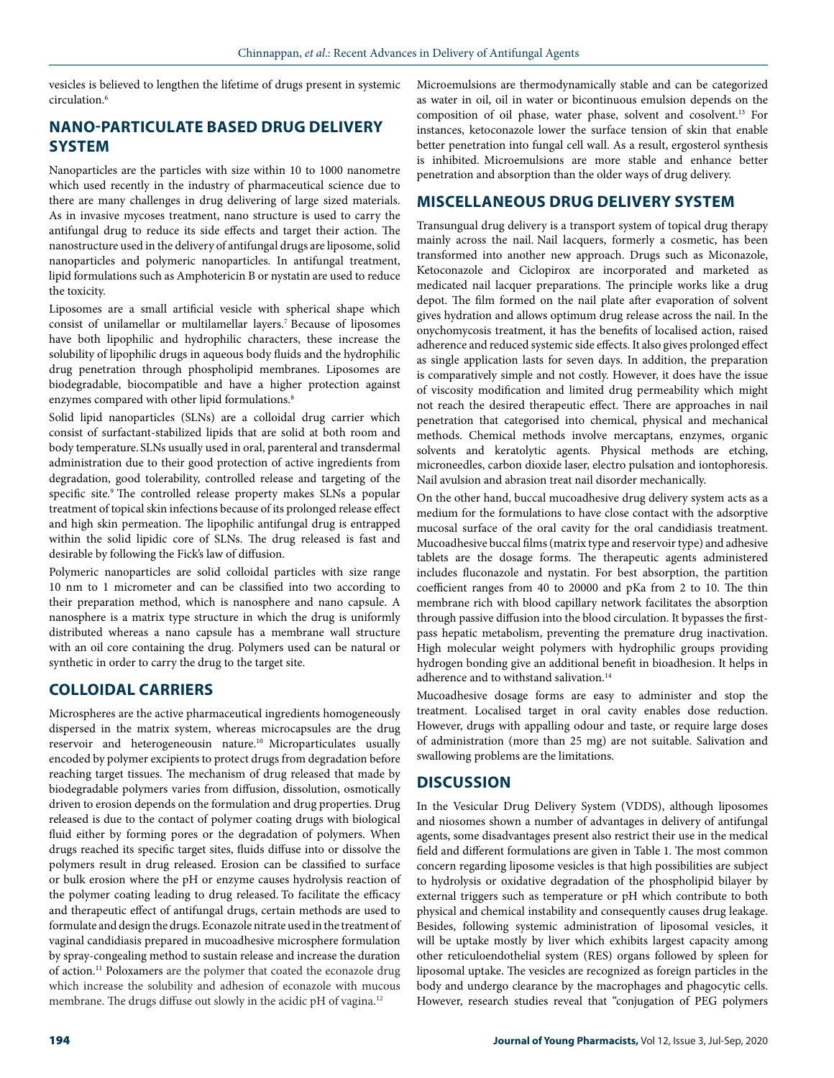vesicles is believed to lengthen the lifetime of drugs present in systemic circulation.6

# **NANO-PARTICULATE BASED DRUG DELIVERY SYSTEM**

Nanoparticles are the particles with size within 10 to 1000 nanometre which used recently in the industry of pharmaceutical science due to there are many challenges in drug delivering of large sized materials. As in invasive mycoses treatment, nano structure is used to carry the antifungal drug to reduce its side effects and target their action. The nanostructure used in the delivery of antifungal drugs are liposome, solid nanoparticles and polymeric nanoparticles. In antifungal treatment, lipid formulations such as Amphotericin B or nystatin are used to reduce the toxicity.

Liposomes are a small artificial vesicle with spherical shape which consist of unilamellar or multilamellar layers.7 Because of liposomes have both lipophilic and hydrophilic characters, these increase the solubility of lipophilic drugs in aqueous body fluids and the hydrophilic drug penetration through phospholipid membranes. Liposomes are biodegradable, biocompatible and have a higher protection against enzymes compared with other lipid formulations.<sup>8</sup>

Solid lipid nanoparticles (SLNs) are a colloidal drug carrier which consist of surfactant-stabilized lipids that are solid at both room and body temperature.SLNs usually used in oral, parenteral and transdermal administration due to their good protection of active ingredients from degradation, good tolerability, controlled release and targeting of the specific site.<sup>9</sup> The controlled release property makes SLNs a popular treatment of topical skin infections because of its prolonged release effect and high skin permeation. The lipophilic antifungal drug is entrapped within the solid lipidic core of SLNs. The drug released is fast and desirable by following the Fick's law of diffusion.

Polymeric nanoparticles are solid colloidal particles with size range 10 nm to 1 micrometer and can be classified into two according to their preparation method, which is nanosphere and nano capsule. A nanosphere is a matrix type structure in which the drug is uniformly distributed whereas a nano capsule has a membrane wall structure with an oil core containing the drug. Polymers used can be natural or synthetic in order to carry the drug to the target site.

# **COLLOIDAL CARRIERS**

Microspheres are the active pharmaceutical ingredients homogeneously dispersed in the matrix system, whereas microcapsules are the drug reservoir and heterogeneousin nature.10 Microparticulates usually encoded by polymer excipients to protect drugs from degradation before reaching target tissues. The mechanism of drug released that made by biodegradable polymers varies from diffusion, dissolution, osmotically driven to erosion depends on the formulation and drug properties. Drug released is due to the contact of polymer coating drugs with biological fluid either by forming pores or the degradation of polymers. When drugs reached its specific target sites, fluids diffuse into or dissolve the polymers result in drug released. Erosion can be classified to surface or bulk erosion where the pH or enzyme causes hydrolysis reaction of the polymer coating leading to drug released. To facilitate the efficacy and therapeutic effect of antifungal drugs, certain methods are used to formulate and design the drugs. Econazole nitrate used in the treatment of vaginal candidiasis prepared in mucoadhesive microsphere formulation by spray-congealing method to sustain release and increase the duration of action.11 Poloxamers are the polymer that coated the econazole drug which increase the solubility and adhesion of econazole with mucous membrane. The drugs diffuse out slowly in the acidic pH of vagina.<sup>12</sup>

Microemulsions are thermodynamically stable and can be categorized as water in oil, oil in water or bicontinuous emulsion depends on the composition of oil phase, water phase, solvent and cosolvent.13 For instances, ketoconazole lower the surface tension of skin that enable better penetration into fungal cell wall. As a result, ergosterol synthesis is inhibited. Microemulsions are more stable and enhance better penetration and absorption than the older ways of drug delivery.

# **MISCELLANEOUS DRUG DELIVERY SYSTEM**

Transungual drug delivery is a transport system of topical drug therapy mainly across the nail. Nail lacquers, formerly a cosmetic, has been transformed into another new approach. Drugs such as Miconazole, Ketoconazole and Ciclopirox are incorporated and marketed as medicated nail lacquer preparations. The principle works like a drug depot. The film formed on the nail plate after evaporation of solvent gives hydration and allows optimum drug release across the nail. In the onychomycosis treatment, it has the benefits of localised action, raised adherence and reduced systemic side effects. It also gives prolonged effect as single application lasts for seven days. In addition, the preparation is comparatively simple and not costly. However, it does have the issue of viscosity modification and limited drug permeability which might not reach the desired therapeutic effect. There are approaches in nail penetration that categorised into chemical, physical and mechanical methods. Chemical methods involve mercaptans, enzymes, organic solvents and keratolytic agents. Physical methods are etching, microneedles, carbon dioxide laser, electro pulsation and iontophoresis. Nail avulsion and abrasion treat nail disorder mechanically.

On the other hand, buccal mucoadhesive drug delivery system acts as a medium for the formulations to have close contact with the adsorptive mucosal surface of the oral cavity for the oral candidiasis treatment. Mucoadhesive buccal films (matrix type and reservoir type) and adhesive tablets are the dosage forms. The therapeutic agents administered includes fluconazole and nystatin. For best absorption, the partition coefficient ranges from 40 to 20000 and pKa from 2 to 10. The thin membrane rich with blood capillary network facilitates the absorption through passive diffusion into the blood circulation. It bypasses the firstpass hepatic metabolism, preventing the premature drug inactivation. High molecular weight polymers with hydrophilic groups providing hydrogen bonding give an additional benefit in bioadhesion. It helps in adherence and to withstand salivation.<sup>14</sup>

Mucoadhesive dosage forms are easy to administer and stop the treatment. Localised target in oral cavity enables dose reduction. However, drugs with appalling odour and taste, or require large doses of administration (more than 25 mg) are not suitable. Salivation and swallowing problems are the limitations.

# **DISCUSSION**

In the Vesicular Drug Delivery System (VDDS), although liposomes and niosomes shown a number of advantages in delivery of antifungal agents, some disadvantages present also restrict their use in the medical field and different formulations are given in Table 1. The most common concern regarding liposome vesicles is that high possibilities are subject to hydrolysis or oxidative degradation of the phospholipid bilayer by external triggers such as temperature or pH which contribute to both physical and chemical instability and consequently causes drug leakage. Besides, following systemic administration of liposomal vesicles, it will be uptake mostly by liver which exhibits largest capacity among other reticuloendothelial system (RES) organs followed by spleen for liposomal uptake. The vesicles are recognized as foreign particles in the body and undergo clearance by the macrophages and phagocytic cells. However, research studies reveal that "conjugation of PEG polymers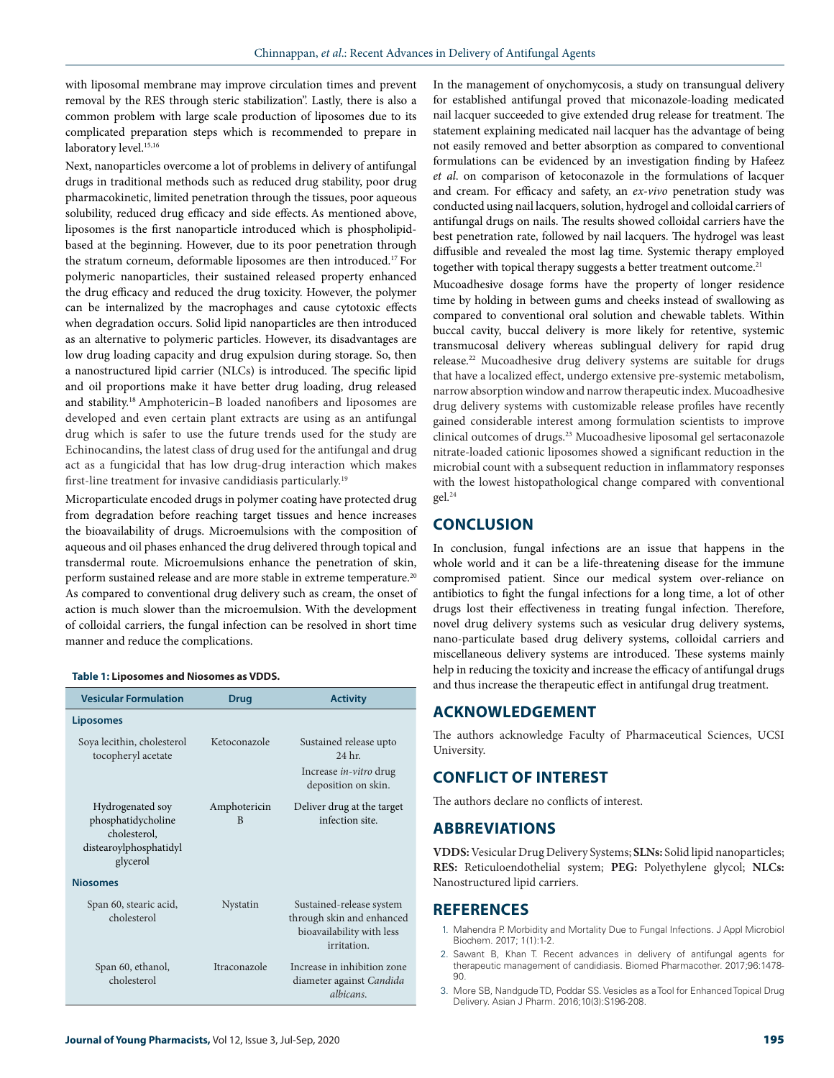with liposomal membrane may improve circulation times and prevent removal by the RES through steric stabilization". Lastly, there is also a common problem with large scale production of liposomes due to its complicated preparation steps which is recommended to prepare in laboratory level.<sup>15,16</sup>

Next, nanoparticles overcome a lot of problems in delivery of antifungal drugs in traditional methods such as reduced drug stability, poor drug pharmacokinetic, limited penetration through the tissues, poor aqueous solubility, reduced drug efficacy and side effects. As mentioned above, liposomes is the first nanoparticle introduced which is phospholipidbased at the beginning. However, due to its poor penetration through the stratum corneum, deformable liposomes are then introduced.17 For polymeric nanoparticles, their sustained released property enhanced the drug efficacy and reduced the drug toxicity. However, the polymer can be internalized by the macrophages and cause cytotoxic effects when degradation occurs. Solid lipid nanoparticles are then introduced as an alternative to polymeric particles. However, its disadvantages are low drug loading capacity and drug expulsion during storage. So, then a nanostructured lipid carrier (NLCs) is introduced. The specific lipid and oil proportions make it have better drug loading, drug released and stability.18 Amphotericin–B loaded nanofibers and liposomes are developed and even certain plant extracts are using as an antifungal drug which is safer to use the future trends used for the study are Echinocandins, the latest class of drug used for the antifungal and drug act as a fungicidal that has low drug-drug interaction which makes first-line treatment for invasive candidiasis particularly.<sup>19</sup>

Microparticulate encoded drugs in polymer coating have protected drug from degradation before reaching target tissues and hence increases the bioavailability of drugs. Microemulsions with the composition of aqueous and oil phases enhanced the drug delivered through topical and transdermal route. Microemulsions enhance the penetration of skin, perform sustained release and are more stable in extreme temperature.20 As compared to conventional drug delivery such as cream, the onset of action is much slower than the microemulsion. With the development of colloidal carriers, the fungal infection can be resolved in short time manner and reduce the complications.

#### **Table 1: Liposomes and Niosomes as VDDS.**

| <b>Vesicular Formulation</b>                                                                 | Drug                         | <b>Activity</b>                                                                                   |
|----------------------------------------------------------------------------------------------|------------------------------|---------------------------------------------------------------------------------------------------|
| <b>Liposomes</b>                                                                             |                              |                                                                                                   |
| Soya lecithin, cholesterol<br>tocopheryl acetate                                             | Ketoconazole                 | Sustained release upto<br>24 <sub>hr</sub>                                                        |
|                                                                                              |                              | Increase <i>in-vitro</i> drug<br>deposition on skin.                                              |
| Hydrogenated soy<br>phosphatidycholine<br>cholesterol.<br>distearoylphosphatidyl<br>glycerol | Amphotericin<br><sup>B</sup> | Deliver drug at the target<br>infection site.                                                     |
| <b>Niosomes</b>                                                                              |                              |                                                                                                   |
| Span 60, stearic acid,<br>cholesterol                                                        | Nystatin                     | Sustained-release system<br>through skin and enhanced<br>bioavailability with less<br>irritation. |
| Span 60, ethanol,<br>cholesterol                                                             | Itraconazole                 | Increase in inhibition zone<br>diameter against Candida<br>albicans.                              |

In the management of onychomycosis, a study on transungual delivery for established antifungal proved that miconazole-loading medicated nail lacquer succeeded to give extended drug release for treatment. The statement explaining medicated nail lacquer has the advantage of being not easily removed and better absorption as compared to conventional formulations can be evidenced by an investigation finding by Hafeez *et al*. on comparison of ketoconazole in the formulations of lacquer and cream. For efficacy and safety, an *ex-vivo* penetration study was conducted using nail lacquers, solution, hydrogel and colloidal carriers of antifungal drugs on nails. The results showed colloidal carriers have the best penetration rate, followed by nail lacquers. The hydrogel was least diffusible and revealed the most lag time. Systemic therapy employed together with topical therapy suggests a better treatment outcome.<sup>21</sup>

Mucoadhesive dosage forms have the property of longer residence time by holding in between gums and cheeks instead of swallowing as compared to conventional oral solution and chewable tablets. Within buccal cavity, buccal delivery is more likely for retentive, systemic transmucosal delivery whereas sublingual delivery for rapid drug release.<sup>22</sup> Mucoadhesive drug delivery systems are suitable for drugs that have a localized effect, undergo extensive pre-systemic metabolism, narrow absorption window and narrow therapeutic index. Mucoadhesive drug delivery systems with customizable release profiles have recently gained considerable interest among formulation scientists to improve clinical outcomes of drugs.23 Mucoadhesive liposomal gel sertaconazole nitrate-loaded cationic liposomes showed a significant reduction in the microbial count with a subsequent reduction in inflammatory responses with the lowest histopathological change compared with conventional gel.24

### **CONCLUSION**

In conclusion, fungal infections are an issue that happens in the whole world and it can be a life-threatening disease for the immune compromised patient. Since our medical system over-reliance on antibiotics to fight the fungal infections for a long time, a lot of other drugs lost their effectiveness in treating fungal infection. Therefore, novel drug delivery systems such as vesicular drug delivery systems, nano-particulate based drug delivery systems, colloidal carriers and miscellaneous delivery systems are introduced. These systems mainly help in reducing the toxicity and increase the efficacy of antifungal drugs and thus increase the therapeutic effect in antifungal drug treatment.

### **ACKNOWLEDGEMENT**

The authors acknowledge Faculty of Pharmaceutical Sciences, UCSI University.

## **CONFLICT OF INTEREST**

The authors declare no conflicts of interest.

### **ABBREVIATIONS**

**VDDS:** Vesicular Drug Delivery Systems; **SLNs:** Solid lipid nanoparticles; **RES:** Reticuloendothelial system; **PEG:** Polyethylene glycol; **NLCs:**  Nanostructured lipid carriers.

### **REFERENCES**

- 1. Mahendra P. Morbidity and Mortality Due to Fungal Infections. J Appl Microbiol Biochem. 2017; 1(1):1-2.
- 2. Sawant B, Khan T. Recent advances in delivery of antifungal agents for therapeutic management of candidiasis. Biomed Pharmacother. 2017;96:1478- 90.
- 3. More SB, Nandgude TD, Poddar SS. Vesicles as a Tool for Enhanced Topical Drug Delivery. Asian J Pharm. 2016;10(3):S196-208.